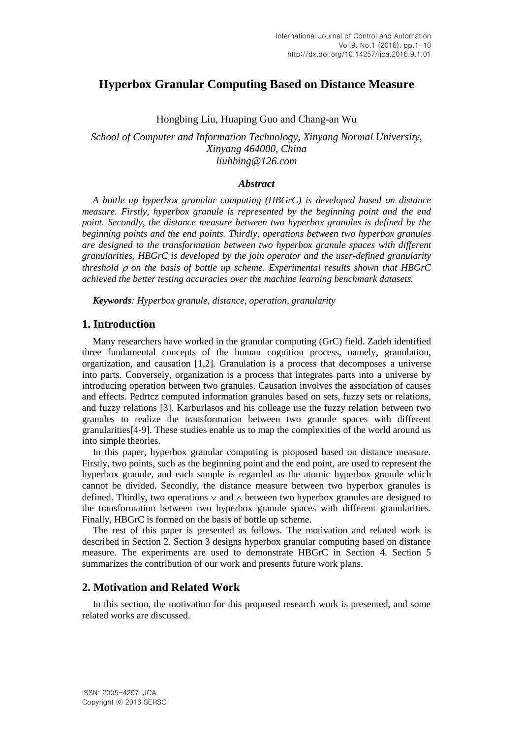# **Hyperbox Granular Computing Based on Distance Measure**

Hongbing Liu, Huaping Guo and Chang-an Wu

*School of Computer and Information Technology, Xinyang Normal University, Xinyang 464000, China liuhbing@126.com*

### *Abstract*

*A bottle up hyperbox granular computing (HBGrC) is developed based on distance measure. Firstly, hyperbox granule is represented by the beginning point and the end point. Secondly, the distance measure between two hyperbox granules is defined by the beginning points and the end points. Thirdly, operations between two hyperbox granules are designed to the transformation between two hyperbox granule spaces with different granularities, HBGrC is developed by the join operator and the user-defined granularity threshold*  $\rho$  *on the basis of bottle up scheme. Experimental results shown that HBGrC achieved the better testing accuracies over the machine learning benchmark datasets.*

*Keywords: Hyperbox granule, distance, operation, granularity*

### **1. Introduction**

Many researchers have worked in the granular computing (GrC) field. Zadeh identified three fundamental concepts of the human cognition process, namely, granulation, organization, and causation [1,2]. Granulation is a process that decomposes a universe into parts. Conversely, organization is a process that integrates parts into a universe by introducing operation between two granules. Causation involves the association of causes and effects. Pedrtcz computed information granules based on sets, fuzzy sets or relations, and fuzzy relations [3]. Karburlasos and his colleage use the fuzzy relation between two granules to realize the transformation between two granule spaces with different granularities[4-9]. These studies enable us to map the complexities of the world around us into simple theories.

In this paper, hyperbox granular computing is proposed based on distance measure. Firstly, two points, such as the beginning point and the end point, are used to represent the hyperbox granule, and each sample is regarded as the atomic hyperbox granule which cannot be divided. Secondly, the distance measure between two hyperbox granules is defined. Thirdly, two operations  $\vee$  and  $\wedge$  between two hyperbox granules are designed to the transformation between two hyperbox granule spaces with different granularities. Finally, HBGrC is formed on the basis of bottle up scheme.

The rest of this paper is presented as follows. The motivation and related work is described in Section 2. Section 3 designs hyperbox granular computing based on distance measure. The experiments are used to demonstrate HBGrC in Section 4. Section 5 summarizes the contribution of our work and presents future work plans.

### **2. Motivation and Related Work**

In this section, the motivation for this proposed research work is presented, and some related works are discussed.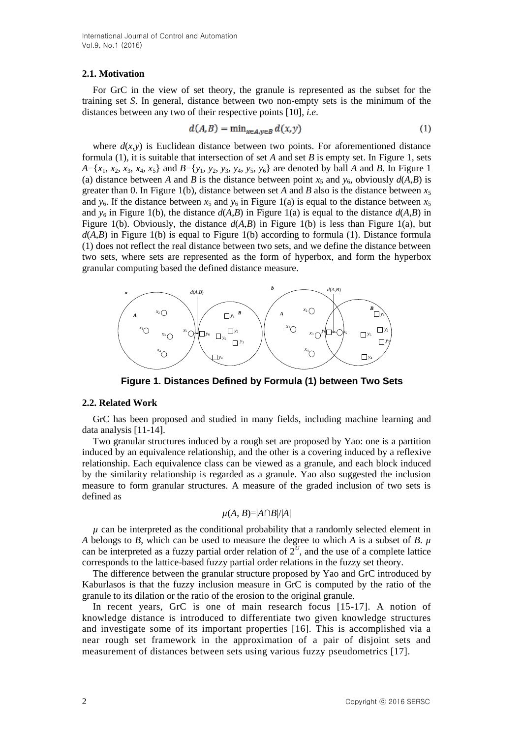International Journal of Control and Automation Vol.9, No.1 (2016)

#### **2.1. Motivation**

For GrC in the view of set theory, the granule is represented as the subset for the training set *S*. In general, distance between two non-empty sets is the minimum of the distances between any two of their respective points [10], *i.e*.

$$
d(A,B) = \min_{x \in A, y \in B} d(x, y) \tag{1}
$$

where  $d(x, y)$  is Euclidean distance between two points. For aforementioned distance formula (1), it is suitable that intersection of set *A* and set *B* is empty set. In Figure 1, sets *A*={ $x_1$ ,  $x_2$ ,  $x_3$ ,  $x_4$ ,  $x_5$ } and *B*={ $y_1$ ,  $y_2$ ,  $y_3$ ,  $y_4$ ,  $y_5$ ,  $y_6$ } are denoted by ball *A* and *B*. In Figure 1 (a) distance between *A* and *B* is the distance between point  $x_5$  and  $y_6$ , obviously  $d(A,B)$  is greater than 0. In Figure 1(b), distance between set *A* and *B* also is the distance between  $x_5$ and  $y_6$ . If the distance between  $x_5$  and  $y_6$  in Figure 1(a) is equal to the distance between  $x_5$ and  $y_6$  in Figure 1(b), the distance  $d(A,B)$  in Figure 1(a) is equal to the distance  $d(A,B)$  in Figure 1(b). Obviously, the distance  $d(A,B)$  in Figure 1(b) is less than Figure 1(a), but  $d(A,B)$  in Figure 1(b) is equal to Figure 1(b) according to formula (1). Distance formula (1) does not reflect the real distance between two sets, and we define the distance between two sets, where sets are represented as the form of hyperbox, and form the hyperbox granular computing based the defined distance measure.



**Figure 1. Distances Defined by Formula (1) between Two Sets**

#### **2.2. Related Work**

GrC has been proposed and studied in many fields, including machine learning and data analysis [11-14].

Two granular structures induced by a rough set are proposed by Yao: one is a partition induced by an equivalence relationship, and the other is a covering induced by a reflexive relationship. Each equivalence class can be viewed as a granule, and each block induced by the similarity relationship is regarded as a granule. Yao also suggested the inclusion measure to form granular structures. A measure of the graded inclusion of two sets is defined as

$$
\mu(A, B)=|A\cap B|/|A|
$$

 $\mu$  can be interpreted as the conditional probability that a randomly selected element in *A* belongs to *B*, which can be used to measure the degree to which *A* is a subset of *B*. *µ* can be interpreted as a fuzzy partial order relation of  $2^U$ , and the use of a complete lattice corresponds to the lattice-based fuzzy partial order relations in the fuzzy set theory.

The difference between the granular structure proposed by Yao and GrC introduced by Kaburlasos is that the fuzzy inclusion measure in GrC is computed by the ratio of the granule to its dilation or the ratio of the erosion to the original granule.

In recent years, GrC is one of main research focus [15-17]. A notion of knowledge distance is introduced to differentiate two given knowledge structures and investigate some of its important properties [16]. This is accomplished via a near rough set framework in the approximation of a pair of disjoint sets and measurement of distances between sets using various fuzzy pseudometrics [17].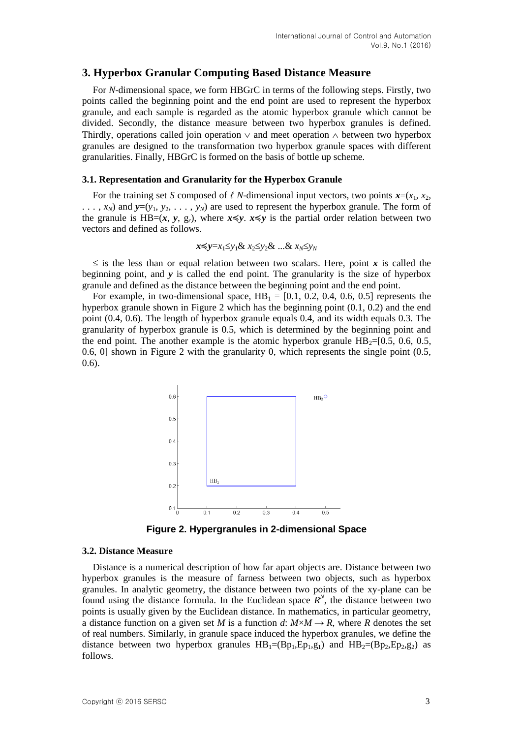### **3. Hyperbox Granular Computing Based Distance Measure**

For *N*-dimensional space, we form HBGrC in terms of the following steps. Firstly, two points called the beginning point and the end point are used to represent the hyperbox granule, and each sample is regarded as the atomic hyperbox granule which cannot be divided. Secondly, the distance measure between two hyperbox granules is defined. Thirdly, operations called join operation  $\vee$  and meet operation  $\wedge$  between two hyperbox granules are designed to the transformation two hyperbox granule spaces with different granularities. Finally, HBGrC is formed on the basis of bottle up scheme.

#### **3.1. Representation and Granularity for the Hyperbox Granule**

For the training set *S* composed of  $\ell$  *N*-dimensional input vectors, two points  $\mathbf{x}=(x_1, x_2, x_3, x_4, x_5, x_6, x_7, x_8, x_9, x_1, x_2, x_3, x_4, x_5, x_6, x_7, x_8, x_9, x_1, x_2, x_3, x_4, x_7, x_8, x_9, x_1, x_2, x_3, x_4, x_6, x_7, x_8, x_$  $\ldots$ , *x<sub>N</sub>*) and  $y=(y_1, y_2, \ldots, y_N)$  are used to represent the hyperbox granule. The form of the granule is HB= $(x, y, g)$ , where  $x \le y$ .  $x \le y$  is the partial order relation between two vectors and defined as follows.

$$
x \leq y = x_1 \leq y_1 \& x_2 \leq y_2 \& \dots \& x_N \leq y_N
$$

 $\leq$  is the less than or equal relation between two scalars. Here, point *x* is called the beginning point, and *y* is called the end point. The granularity is the size of hyperbox granule and defined as the distance between the beginning point and the end point.

For example, in two-dimensional space,  $HB_1 = [0.1, 0.2, 0.4, 0.6, 0.5]$  represents the hyperbox granule shown in Figure 2 which has the beginning point (0.1, 0.2) and the end point (0.4, 0.6). The length of hyperbox granule equals 0.4, and its width equals 0.3. The granularity of hyperbox granule is 0.5, which is determined by the beginning point and the end point. The another example is the atomic hyperbox granule  $HB_2=[0.5, 0.6, 0.5,$ 0.6, 0] shown in Figure 2 with the granularity 0, which represents the single point (0.5, 0.6).



**Figure 2. Hypergranules in 2-dimensional Space**

#### **3.2. Distance Measure**

Distance is a numerical description of how far apart objects are. Distance between two hyperbox granules is the measure of farness between two objects, such as hyperbox granules. In analytic geometry, the distance between two points of the xy-plane can be found using the distance formula. In the Euclidean space  $\mathbb{R}^N$ , the distance between two points is usually given by the Euclidean distance. In mathematics, in particular geometry, a distance function on a given set *M* is a function *d*:  $M \times M \rightarrow R$ , where *R* denotes the set of real numbers. Similarly, in granule space induced the hyperbox granules, we define the distance between two hyperbox granules  $HB_1=(Bp_1,Ep_1,g_1)$  and  $HB_2=(Bp_2,Ep_2,g_2)$  as follows.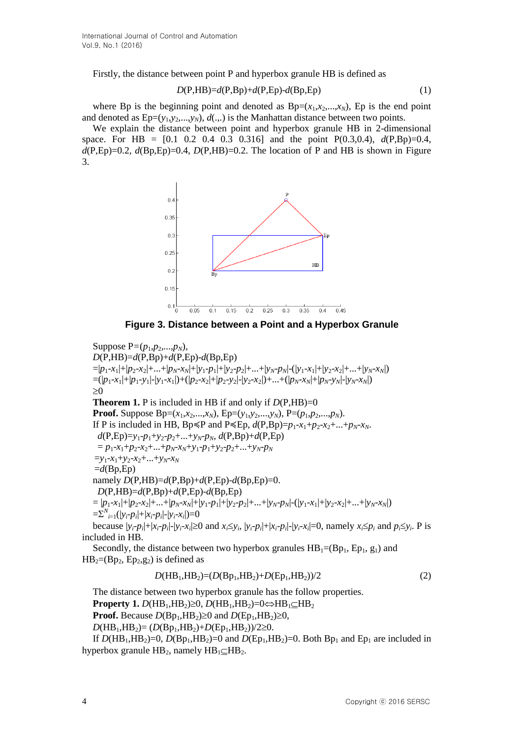Firstly, the distance between point P and hyperbox granule HB is defined as

$$
D(P,HB)=d(P,Bp)+d(P,Ep)-d(Bp,Ep)
$$
\n(1)

where Bp is the beginning point and denoted as  $Bp=(x_1,x_2,...,x_N)$ , Ep is the end point and denoted as  $Ep=(y_1,y_2,...,y_N)$ ,  $d(...)$  is the Manhattan distance between two points.

We explain the distance between point and hyperbox granule HB in 2-dimensional space. For HB =  $[0.1 \ 0.2 \ 0.4 \ 0.3 \ 0.316]$  and the point  $P(0.3,0.4)$ ,  $d(P,Bp)=0.4$ ,  $d(P, Ep)=0.2$ ,  $d(Bp, Ep)=0.4$ ,  $D(P, HB)=0.2$ . The location of P and HB is shown in Figure 3.



**Figure 3. Distance between a Point and a Hyperbox Granule**

Suppose  $P=(p_1, p_2,...,p_N)$ , *D*(P,HB)=*d*(P,Bp)+*d*(P,Ep)-*d*(Bp,Ep)  $= |p_1 - x_1| + |p_2 - x_2| + ... + |p_N - x_N| + |y_1 - p_1| + |y_2 - p_2| + ... + |y_N - p_N| - (|y_1 - x_1| + |y_2 - x_2| + ... + |y_N - x_N|)$  $=(|p_1-x_1|+|p_1-y_1|+|y_1-x_1|)+(|p_2-x_2|+|p_2-y_2|+|y_2-x_2|)+...+(|p_N-x_N|+|p_N-y_N|+|y_N-x_N|)$  $>0$ **Theorem 1.** P is included in HB if and only if  $D(P,HB)=0$ **Proof.** Suppose Bp= $(x_1, x_2, ..., x_N)$ , Ep= $(y_1, y_2, ..., y_N)$ , P= $(p_1, p_2, ..., p_N)$ . If P is included in HB, Bp $\leq$ P and P $\leq$ Ep,  $d(P, Bp)=p_1-x_1+p_2-x_2+...+p_N-x_N$ .  $d(P, Ep) = y_1 - p_1 + y_2 - p_2 + ... + y_N - p_N$ ,  $d(P, Bp) + d(P, Ep)$  $= p_1 - x_1 + p_2 - x_2 + \ldots + p_N - x_N + y_1 - p_1 + y_2 - p_2 + \ldots + y_N - p_N$  $=y_1-x_1+y_2-x_2+...+y_N-x_N$  $= d$ (Bp,Ep) namely  $D(P, HB) = d(P, Bp) + d(P, Ep) - d(Bp, Ep) = 0.$  $D(P, HB) = d(P, Bp) + d(P, Ep) - d(Bp, Ep)$ =  $|p_1-x_1|+|p_2-x_2|+...+|p_N-x_N|+|y_1-p_1|+|y_2-p_2|+...+|y_N-p_N|-(|y_1-x_1|+|y_2-x_2|+...+|y_N-x_N|)$  $=\sum_{i=1}^{N}(|y_i-p_i|+|x_i-p_i|-|y_i-x_i|)=0$ because  $|y_i - p_i| + |x_i - p_i| - |y_i - x_i| \ge 0$  and  $x_i \le y_i$ ,  $|y_i - p_i| + |x_i - p_i| - |y_i - x_i| = 0$ , namely  $x_i \le p_i$  and  $p_i \le y_i$ . P is included in HB.

Secondly, the distance between two hyperbox granules  $HB_1=(Bp_1, Ep_1, g_1)$  and  $HB_2=(Bp_2, Ep_2, g_2)$  is defined as

$$
D(HB_1,HB_2)=(D(Bp_1,HB_2)+D(Ep_1,HB_2))/2
$$
\n(2)

The distance between two hyperbox granule has the follow properties.

**Property 1.**  $D(HB_1, HB_2) \ge 0$ ,  $D(HB_1, HB_2) = 0 \Leftrightarrow HB_1 \subset HB_2$ 

**Proof.** Because  $D(Bp_1, HB_2) \ge 0$  and  $D(Ep_1, HB_2) \ge 0$ ,

 $D(HB_1, HB_2) = (D(Bp_1, HB_2) + D(Ep_1, HB_2))/2 \ge 0.$ 

If  $D(HB_1, HB_2)=0$ ,  $D(Bp_1, HB_2)=0$  and  $D(Ep_1, HB_2)=0$ . Both  $Bp_1$  and  $Ep_1$  are included in hyperbox granule  $HB_2$ , namely  $HB_1\subset HB_2$ .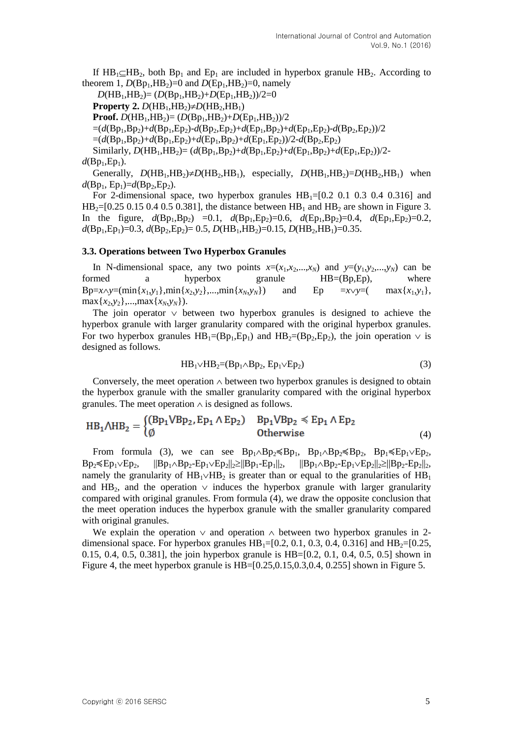If  $HB_1\subset HB_2$ , both  $Bp_1$  and  $Ep_1$  are included in hyperbox granule HB<sub>2</sub>. According to theorem 1,  $D(Bp_1, HB_2)=0$  and  $D(Ep_1, HB_2)=0$ , namely

 $D(HB_1, HB_2) = (D(Bp_1, HB_2) + D(Ep_1, HB_2))/2 = 0$ 

**Property 2.**  $D(HB_1,HB_2) \neq D(HB_2,HB_1)$ 

**Proof.**  $D(HB_1, HB_2) = (D(Bp_1, HB_2) + D(Ep_1, HB_2))/2$ 

 $=(d(Bp_1,Bp_2)+d(Bp_1,Ep_2)-d(Bp_2,Ep_2)+d(Ep_1,Bp_2)+d(Ep_1,Ep_2)-d(Bp_2,Ep_2))/2$ 

 $=(d(Bp_1, Bp_2)+d(Bp_1, Ep_2)+d(Ep_1, Bp_2)+d(Ep_1, Ep_2))/2-d(Bp_2, Ep_2)$ 

Similarly,  $D(HB_1, HB_2) = (d(Bp_1, Bp_2) + d(Bp_1, Ep_2) + d(Ep_1, Bp_2) + d(Ep_1, Ep_2))$ /2-

```
d(Bp<sub>1</sub>,Ep<sub>1</sub>).
```
Generally,  $D(HB_1, HB_2) \neq D(HB_2, HB_1)$ , especially,  $D(HB_1, HB_2) = D(HB_2, HB_1)$  when  $d$ (Bp<sub>1</sub>, Ep<sub>1</sub>)= $d$ (Bp<sub>2</sub>,Ep<sub>2</sub>).

For 2-dimensional space, two hyperbox granules  $HB_1=[0.2 \ 0.1 \ 0.3 \ 0.4 \ 0.316]$  and  $HB_2=[0.25\;0.15\;0.4\;0.5\;0.381]$ , the distance between  $HB_1$  and  $HB_2$  are shown in Figure 3. In the figure,  $d(Bp_1, Bp_2) = 0.1$ ,  $d(Bp_1, Ep_2) = 0.6$ ,  $d(Ep_1, Bp_2) = 0.4$ ,  $d(Ep_1, Ep_2) = 0.2$ ,  $d$ (Bp<sub>1</sub>,Ep<sub>1</sub>)=0.3,  $d$ (Bp<sub>2</sub>,Ep<sub>2</sub>)= 0.5, *D*(HB<sub>1</sub>,HB<sub>2</sub>)=0.15, *D*(HB<sub>2</sub>,HB<sub>1</sub>)=0.35.

#### **3.3. Operations between Two Hyperbox Granules**

In N-dimensional space, any two points  $x=(x_1,x_2,...,x_N)$  and  $y=(y_1,y_2,...,y_N)$  can be formed a hyperbox granule HB=(Bp,Ep), where  $Bp=x\wedge y=(\min\{x_1,y_1\},\min\{x_2,y_2\},...,\min\{x_N,y_N\})$  and  $Ep = x\vee y=(\max\{x_1,y_1\},\min\{x_2,y_2\},...,\min\{x_N,y_N\})$  $max\{x_2, y_2\}, \ldots, \max\{x_N, y_N\}.$ 

The join operator  $\vee$  between two hyperbox granules is designed to achieve the hyperbox granule with larger granularity compared with the original hyperbox granules. For two hyperbox granules  $HB_1=(Bp_1,Ep_1)$  and  $HB_2=(Bp_2,Ep_2)$ , the join operation  $\vee$  is designed as follows.

$$
HB_1 \vee HB_2 = (Bp_1 \wedge Bp_2, Ep_1 \vee Ep_2)
$$
\n(3)

Conversely, the meet operation  $\wedge$  between two hyperbox granules is designed to obtain the hyperbox granule with the smaller granularity compared with the original hyperbox granules. The meet operation  $\wedge$  is designed as follows.

$$
HB_1 \wedge HB_2 = \begin{cases} (Bp_1 \vee Bp_2, Ep_1 \wedge Ep_2) & Bp_1 \vee Bp_2 \le Ep_1 \wedge Ep_2 \\ \emptyset & \text{Otherwise} \end{cases}
$$
(4)

From formula (3), we can see  $Bp_1 \wedge Bp_2 \preccurlyeq Bp_1$ ,  $Bp_1 \wedge Bp_2 \preccurlyeq Bp_2$ ,  $Bp_1 \preccurlyeq Ep_1 \vee Ep_2$ ,  $Bp_2 \le Ep_1 \vee Ep_2$ ,  $||Bp_1 \wedge Bp_2-Ep_1 \vee Ep_2||_2 \ge ||Bp_1-Ep_1||_2$ ,  $||Bp_1 \wedge Bp_2-Ep_1 \vee Ep_2||_2 \ge ||Bp_2-Ep_2||_2$ , namely the granularity of  $HB_1\vee HB_2$  is greater than or equal to the granularities of  $HB_1$ and HB<sub>2</sub>, and the operation  $\vee$  induces the hyperbox granule with larger granularity compared with original granules. From formula (4), we draw the opposite conclusion that the meet operation induces the hyperbox granule with the smaller granularity compared with original granules.

We explain the operation  $\vee$  and operation  $\wedge$  between two hyperbox granules in 2dimensional space. For hyperbox granules  $HB_1=[0.2, 0.1, 0.3, 0.4, 0.316]$  and  $HB_2=[0.25, 0.4, 0.316]$ 0.15, 0.4, 0.5, 0.381], the join hyperbox granule is HB=[0.2, 0.1, 0.4, 0.5, 0.5] shown in Figure 4, the meet hyperbox granule is HB=[0.25,0.15,0.3,0.4, 0.255] shown in Figure 5.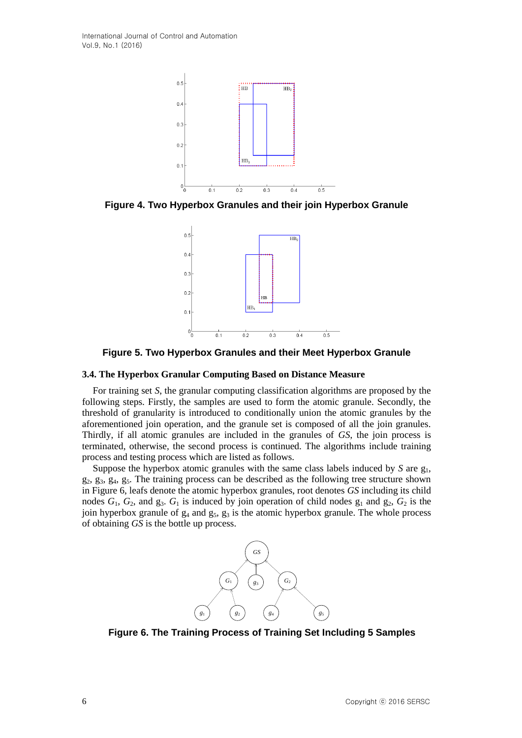International Journal of Control and Automation Vol.9, No.1 (2016)



**Figure 4. Two Hyperbox Granules and their join Hyperbox Granule**



**Figure 5. Two Hyperbox Granules and their Meet Hyperbox Granule**

#### **3.4. The Hyperbox Granular Computing Based on Distance Measure**

For training set *S*, the granular computing classification algorithms are proposed by the following steps. Firstly, the samples are used to form the atomic granule. Secondly, the threshold of granularity is introduced to conditionally union the atomic granules by the aforementioned join operation, and the granule set is composed of all the join granules. Thirdly, if all atomic granules are included in the granules of *GS*, the join process is terminated, otherwise, the second process is continued. The algorithms include training process and testing process which are listed as follows.

Suppose the hyperbox atomic granules with the same class labels induced by *S* are  $g_1$ ,  $g_2, g_3, g_4, g_5$ . The training process can be described as the following tree structure shown in Figure 6, leafs denote the atomic hyperbox granules, root denotes *GS* including its child nodes  $G_1$ ,  $G_2$ , and  $g_3$ .  $G_1$  is induced by join operation of child nodes  $g_1$  and  $g_2$ ,  $G_2$  is the join hyperbox granule of  $g_4$  and  $g_5$ ,  $g_3$  is the atomic hyperbox granule. The whole process of obtaining *GS* is the bottle up process.



**Figure 6. The Training Process of Training Set Including 5 Samples**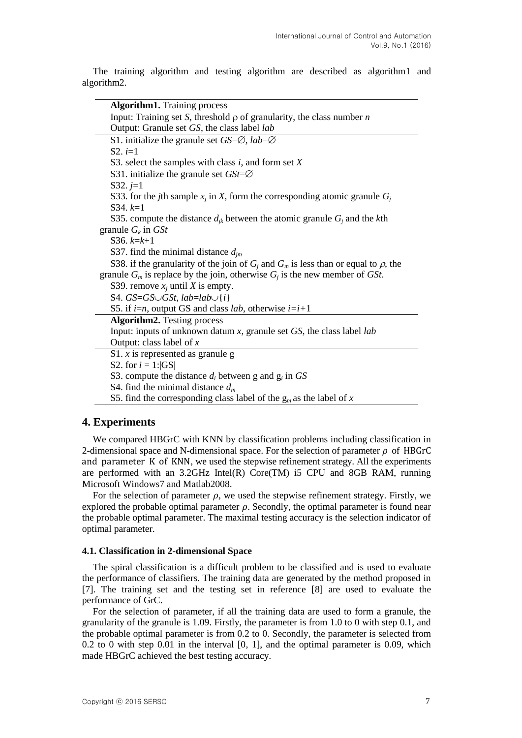The training algorithm and testing algorithm are described as algorithm1 and algorithm2.

| <b>Algorithm1.</b> Training process                                                            |
|------------------------------------------------------------------------------------------------|
| Input: Training set S, threshold $\rho$ of granularity, the class number <i>n</i>              |
| Output: Granule set GS, the class label lab                                                    |
| S1. initialize the granule set $GS=\varnothing$ , $lab=\varnothing$                            |
| $S2. i=1$                                                                                      |
| S3. select the samples with class $i$ , and form set $X$                                       |
| S31. initialize the granule set $GSt = \emptyset$                                              |
| $S32. j=1$                                                                                     |
| S33. for the <i>j</i> th sample $x_i$ in X, form the corresponding atomic granule $G_i$        |
| S34. $k=1$                                                                                     |
| S35. compute the distance $d_{ik}$ between the atomic granule $G_i$ and the kth                |
| granule $G_k$ in $GSt$                                                                         |
| S36. $k=k+1$                                                                                   |
| S37. find the minimal distance $d_{im}$                                                        |
| S38. if the granularity of the join of $G_i$ and $G_m$ is less than or equal to $\rho$ , the   |
| granule $G_m$ is replace by the join, otherwise $G_i$ is the new member of GSt.                |
| S39. remove $x_i$ until X is empty.                                                            |
| S4. $GS = GS \cup GSt$ , $lab = lab \cup \{i\}$                                                |
| S5. if <i>i</i> = <i>n</i> , output GS and class <i>lab</i> , otherwise <i>i</i> = <i>i</i> +1 |
| <b>Algorithm2.</b> Testing process                                                             |
| Input: inputs of unknown datum $x$ , granule set $GS$ , the class label lab                    |
| Output: class label of $x$                                                                     |
| S1. $x$ is represented as granule g                                                            |
| S2. for $i = 1$ : $ GS $                                                                       |
| S3. compute the distance $d_i$ between g and $g_i$ in GS                                       |
| S4. find the minimal distance $d_m$                                                            |
| S5. find the corresponding class label of the $g_m$ as the label of x                          |
|                                                                                                |

### **4. Experiments**

We compared HBGrC with KNN by classification problems including classification in 2-dimensional space and N-dimensional space. For the selection of parameter  $\rho$  of HBGrC and parameter K of KNN, we used the stepwise refinement strategy. All the experiments are performed with an 3.2GHz Intel(R) Core(TM) i5 CPU and 8GB RAM, running Microsoft Windows7 and Matlab2008.

For the selection of parameter  $\rho$ , we used the stepwise refinement strategy. Firstly, we explored the probable optimal parameter  $\rho$ . Secondly, the optimal parameter is found near the probable optimal parameter. The maximal testing accuracy is the selection indicator of optimal parameter.

#### **4.1. Classification in 2-dimensional Space**

The spiral classification is a difficult problem to be classified and is used to evaluate the performance of classifiers. The training data are generated by the method proposed in [7]. The training set and the testing set in reference [8] are used to evaluate the performance of GrC.

For the selection of parameter, if all the training data are used to form a granule, the granularity of the granule is 1.09. Firstly, the parameter is from 1.0 to 0 with step 0.1, and the probable optimal parameter is from 0.2 to 0. Secondly, the parameter is selected from 0.2 to 0 with step 0.01 in the interval [0, 1], and the optimal parameter is 0.09, which made HBGrC achieved the best testing accuracy.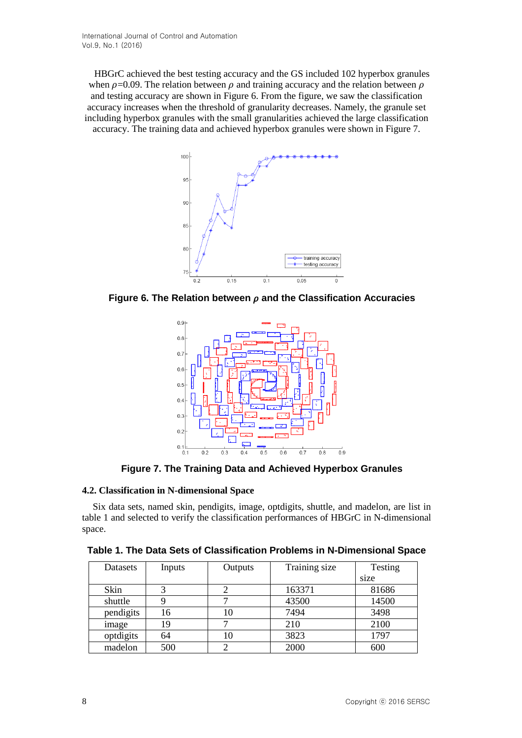HBGrC achieved the best testing accuracy and the GS included 102 hyperbox granules when  $\rho$ =0.09. The relation between  $\rho$  and training accuracy and the relation between  $\rho$ and testing accuracy are shown in Figure 6. From the figure, we saw the classification accuracy increases when the threshold of granularity decreases. Namely, the granule set including hyperbox granules with the small granularities achieved the large classification accuracy. The training data and achieved hyperbox granules were shown in Figure 7.



**Figure 6. The Relation between**  $\rho$  **and the Classification Accuracies** 



**Figure 7. The Training Data and Achieved Hyperbox Granules**

### **4.2. Classification in N-dimensional Space**

Six data sets, named skin, pendigits, image, optdigits, shuttle, and madelon, are list in table 1 and selected to verify the classification performances of HBGrC in N-dimensional space.

| Datasets  | Inputs | Outputs | Training size | Testing |
|-----------|--------|---------|---------------|---------|
|           |        |         |               | size    |
| Skin      |        |         | 163371        | 81686   |
| shuttle   |        |         | 43500         | 14500   |
| pendigits | 16     | 10      | 7494          | 3498    |
| image     | 19     |         | 210           | 2100    |
| optdigits | 64     | 10      | 3823          | 1797    |
| madelon   | 500    |         | 2000          | 600     |

**Table 1. The Data Sets of Classification Problems in N-Dimensional Space**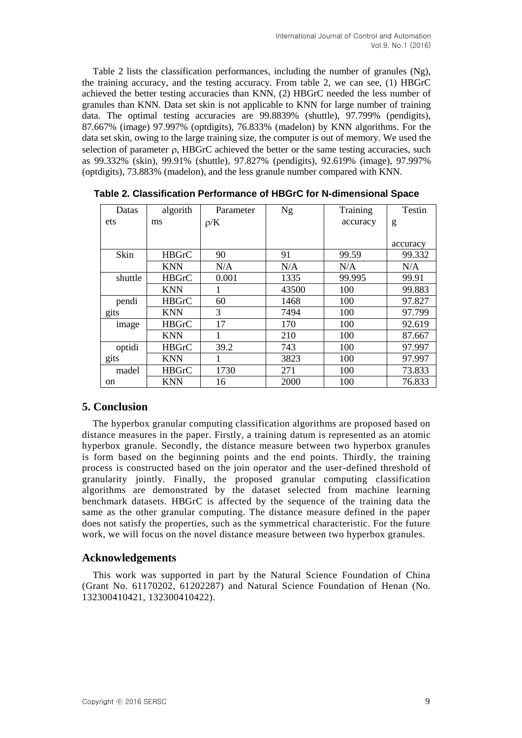Table 2 lists the classification performances, including the number of granules (Ng), the training accuracy, and the testing accuracy. From table 2, we can see, (1) HBGrC achieved the better testing accuracies than KNN, (2) HBGrC needed the less number of granules than KNN. Data set skin is not applicable to KNN for large number of training data. The optimal testing accuracies are 99.8839% (shuttle), 97.799% (pendigits), 87.667% (image) 97.997% (optdigits), 76.833% (madelon) by KNN algorithms. For the data set skin, owing to the large training size, the computer is out of memory. We used the selection of parameter  $\rho$ . HBGrC achieved the better or the same testing accuracies, such as 99.332% (skin), 99.91% (shuttle), 97.827% (pendigits), 92.619% (image), 97.997% (optdigits), 73.883% (madelon), and the less granule number compared with KNN.

| Datas   | algorith     | Parameter | Ng    | Training | Testin   |
|---------|--------------|-----------|-------|----------|----------|
|         |              |           |       |          |          |
| ets     | ms           | $\rho/K$  |       | accuracy | g        |
|         |              |           |       |          |          |
|         |              |           |       |          | accuracy |
| Skin    | <b>HBGrC</b> | 90        | 91    | 99.59    | 99.332   |
|         | <b>KNN</b>   | N/A       | N/A   | N/A      | N/A      |
| shuttle | <b>HBGrC</b> | 0.001     | 1335  | 99.995   | 99.91    |
|         | <b>KNN</b>   |           | 43500 | 100      | 99.883   |
| pendi   | <b>HBGrC</b> | 60        | 1468  | 100      | 97.827   |
| gits    | <b>KNN</b>   | 3         | 7494  | 100      | 97.799   |
| image   | <b>HBGrC</b> | 17        | 170   | 100      | 92.619   |
|         | <b>KNN</b>   |           | 210   | 100      | 87.667   |
| optidi  | <b>HBGrC</b> | 39.2      | 743   | 100      | 97.997   |
| gits    | <b>KNN</b>   |           | 3823  | 100      | 97.997   |
| madel   | <b>HBGrC</b> | 1730      | 271   | 100      | 73.833   |
| on      | <b>KNN</b>   | 16        | 2000  | 100      | 76.833   |

**Table 2. Classification Performance of HBGrC for N-dimensional Space**

# **5. Conclusion**

The hyperbox granular computing classification algorithms are proposed based on distance measures in the paper. Firstly, a training datum is represented as an atomic hyperbox granule. Secondly, the distance measure between two hyperbox granules is form based on the beginning points and the end points. Thirdly, the training process is constructed based on the join operator and the user-defined threshold of granularity jointly. Finally, the proposed granular computing classification algorithms are demonstrated by the dataset selected from machine learning benchmark datasets. HBGrC is affected by the sequence of the training data the same as the other granular computing. The distance measure defined in the paper does not satisfy the properties, such as the symmetrical characteristic. For the future work, we will focus on the novel distance measure between two hyperbox granules.

# **Acknowledgements**

This work was supported in part by the Natural Science Foundation of China (Grant No. 61170202, 61202287) and Natural Science Foundation of Henan (No. 132300410421, 132300410422).